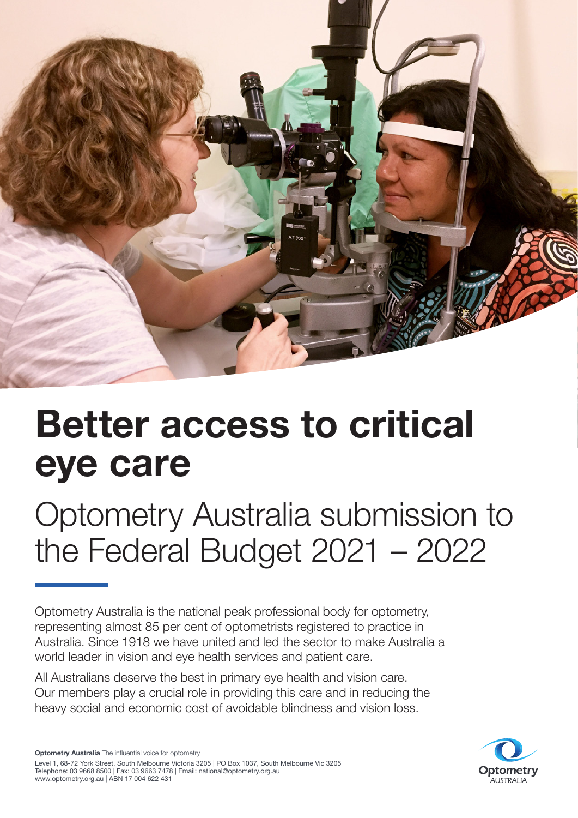

# **Better access to critical eye care**

Optometry Australia submission to the Federal Budget 2021 – 2022

Optometry Australia is the national peak professional body for optometry, representing almost 85 per cent of optometrists registered to practice in Australia. Since 1918 we have united and led the sector to make Australia a world leader in vision and eye health services and patient care.

All Australians deserve the best in primary eye health and vision care. Our members play a crucial role in providing this care and in reducing the heavy social and economic cost of avoidable blindness and vision loss.

**Optometry Australia** The influential voice for optometry Level 1, 68-72 York Street, South Melbourne Victoria 3205 | PO Box 1037, South Melbourne Vic 3205 Telephone: 03 9668 8500 | Fax: 03 9663 7478 | Email: national@optometry.org.au www.optometry.org.au | ABN 17 004 622 431

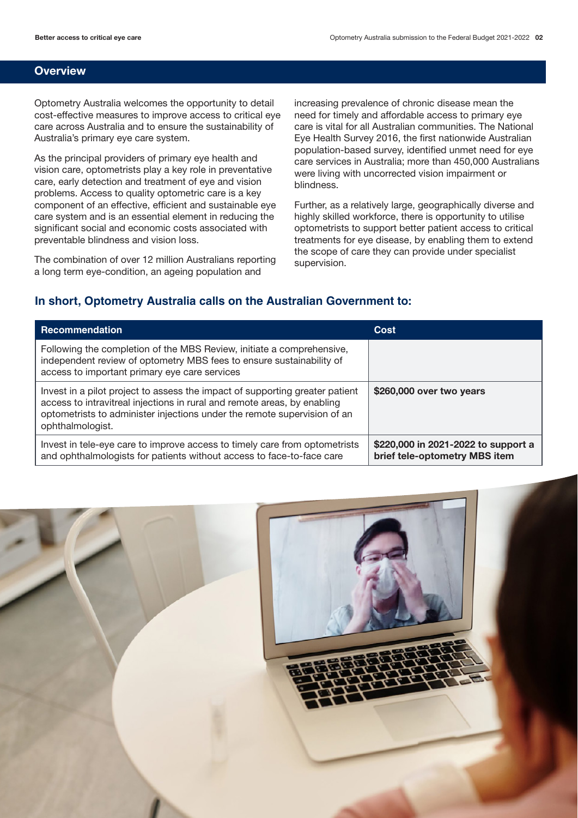#### **Overview**

Optometry Australia welcomes the opportunity to detail cost-effective measures to improve access to critical eye care across Australia and to ensure the sustainability of Australia's primary eye care system.

As the principal providers of primary eye health and vision care, optometrists play a key role in preventative care, early detection and treatment of eye and vision problems. Access to quality optometric care is a key component of an effective, efficient and sustainable eye care system and is an essential element in reducing the significant social and economic costs associated with preventable blindness and vision loss.

The combination of over 12 million Australians reporting a long term eye-condition, an ageing population and

increasing prevalence of chronic disease mean the need for timely and affordable access to primary eye care is vital for all Australian communities. The National Eye Health Survey 2016, the first nationwide Australian population-based survey, identified unmet need for eye care services in Australia; more than 450,000 Australians were living with uncorrected vision impairment or blindness.

Further, as a relatively large, geographically diverse and highly skilled workforce, there is opportunity to utilise optometrists to support better patient access to critical treatments for eye disease, by enabling them to extend the scope of care they can provide under specialist supervision.

## **In short, Optometry Australia calls on the Australian Government to:**

| <b>Recommendation</b>                                                                                                                                                                                                                                    | Cost                                                                 |
|----------------------------------------------------------------------------------------------------------------------------------------------------------------------------------------------------------------------------------------------------------|----------------------------------------------------------------------|
| Following the completion of the MBS Review, initiate a comprehensive,<br>independent review of optometry MBS fees to ensure sustainability of<br>access to important primary eye care services                                                           |                                                                      |
| Invest in a pilot project to assess the impact of supporting greater patient<br>access to intravitreal injections in rural and remote areas, by enabling<br>optometrists to administer injections under the remote supervision of an<br>ophthalmologist. | \$260,000 over two years                                             |
| Invest in tele-eye care to improve access to timely care from optometrists<br>and ophthalmologists for patients without access to face-to-face care                                                                                                      | \$220,000 in 2021-2022 to support a<br>brief tele-optometry MBS item |

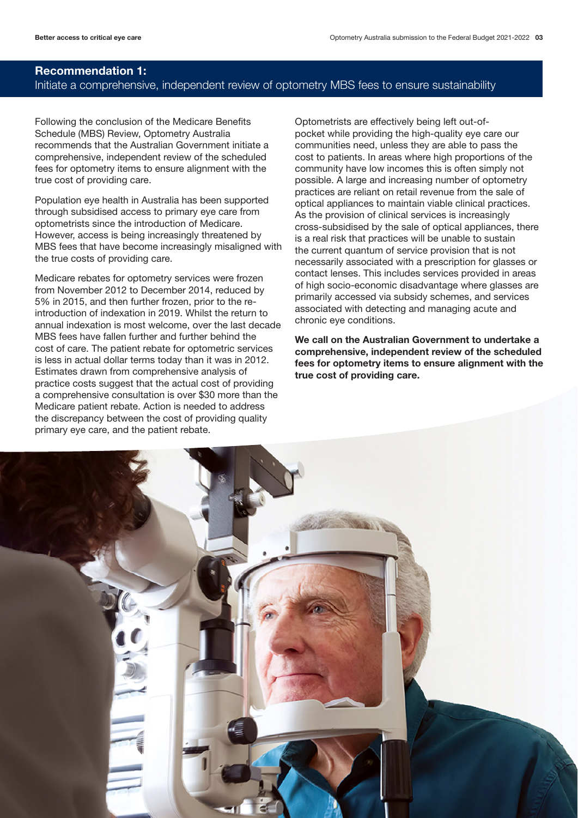# **Recommendation 1:**

## Initiate a comprehensive, independent review of optometry MBS fees to ensure sustainability

Following the conclusion of the Medicare Benefits Schedule (MBS) Review, Optometry Australia recommends that the Australian Government initiate a comprehensive, independent review of the scheduled fees for optometry items to ensure alignment with the true cost of providing care.

Population eye health in Australia has been supported through subsidised access to primary eye care from optometrists since the introduction of Medicare. However, access is being increasingly threatened by MBS fees that have become increasingly misaligned with the true costs of providing care.

Medicare rebates for optometry services were frozen from November 2012 to December 2014, reduced by 5% in 2015, and then further frozen, prior to the reintroduction of indexation in 2019. Whilst the return to annual indexation is most welcome, over the last decade MBS fees have fallen further and further behind the cost of care. The patient rebate for optometric services is less in actual dollar terms today than it was in 2012. Estimates drawn from comprehensive analysis of practice costs suggest that the actual cost of providing a comprehensive consultation is over \$30 more than the Medicare patient rebate. Action is needed to address the discrepancy between the cost of providing quality primary eye care, and the patient rebate.

Optometrists are effectively being left out-ofpocket while providing the high-quality eye care our communities need, unless they are able to pass the cost to patients. In areas where high proportions of the community have low incomes this is often simply not possible. A large and increasing number of optometry practices are reliant on retail revenue from the sale of optical appliances to maintain viable clinical practices. As the provision of clinical services is increasingly cross-subsidised by the sale of optical appliances, there is a real risk that practices will be unable to sustain the current quantum of service provision that is not necessarily associated with a prescription for glasses or contact lenses. This includes services provided in areas of high socio-economic disadvantage where glasses are primarily accessed via subsidy schemes, and services associated with detecting and managing acute and chronic eye conditions.

**We call on the Australian Government to undertake a comprehensive, independent review of the scheduled fees for optometry items to ensure alignment with the true cost of providing care.**

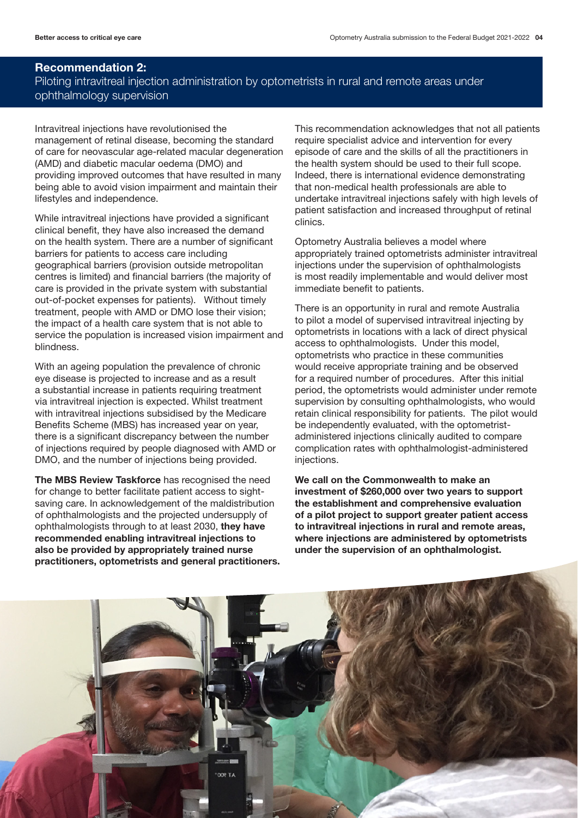## **Recommendation 2:** Piloting intravitreal injection administration by optometrists in rural and remote areas under ophthalmology supervision

Intravitreal injections have revolutionised the

management of retinal disease, becoming the standard of care for neovascular age-related macular degeneration (AMD) and diabetic macular oedema (DMO) and providing improved outcomes that have resulted in many being able to avoid vision impairment and maintain their lifestyles and independence.

While intravitreal injections have provided a significant clinical benefit, they have also increased the demand on the health system. There are a number of significant barriers for patients to access care including geographical barriers (provision outside metropolitan centres is limited) and financial barriers (the majority of care is provided in the private system with substantial out-of-pocket expenses for patients). Without timely treatment, people with AMD or DMO lose their vision; the impact of a health care system that is not able to service the population is increased vision impairment and blindness.

With an ageing population the prevalence of chronic eye disease is projected to increase and as a result a substantial increase in patients requiring treatment via intravitreal injection is expected. Whilst treatment with intravitreal injections subsidised by the Medicare Benefits Scheme (MBS) has increased year on year, there is a significant discrepancy between the number of injections required by people diagnosed with AMD or DMO, and the number of injections being provided.

**The MBS Review Taskforce** has recognised the need for change to better facilitate patient access to sightsaving care. In acknowledgement of the maldistribution of ophthalmologists and the projected undersupply of ophthalmologists through to at least 2030, **they have recommended enabling intravitreal injections to also be provided by appropriately trained nurse practitioners, optometrists and general practitioners.**  This recommendation acknowledges that not all patients require specialist advice and intervention for every episode of care and the skills of all the practitioners in the health system should be used to their full scope. Indeed, there is international evidence demonstrating that non-medical health professionals are able to undertake intravitreal injections safely with high levels of patient satisfaction and increased throughput of retinal clinics.

Optometry Australia believes a model where appropriately trained optometrists administer intravitreal injections under the supervision of ophthalmologists is most readily implementable and would deliver most immediate benefit to patients.

There is an opportunity in rural and remote Australia to pilot a model of supervised intravitreal injecting by optometrists in locations with a lack of direct physical access to ophthalmologists. Under this model, optometrists who practice in these communities would receive appropriate training and be observed for a required number of procedures. After this initial period, the optometrists would administer under remote supervision by consulting ophthalmologists, who would retain clinical responsibility for patients. The pilot would be independently evaluated, with the optometristadministered injections clinically audited to compare complication rates with ophthalmologist-administered injections.

**We call on the Commonwealth to make an investment of \$260,000 over two years to support the establishment and comprehensive evaluation of a pilot project to support greater patient access to intravitreal injections in rural and remote areas, where injections are administered by optometrists under the supervision of an ophthalmologist.**